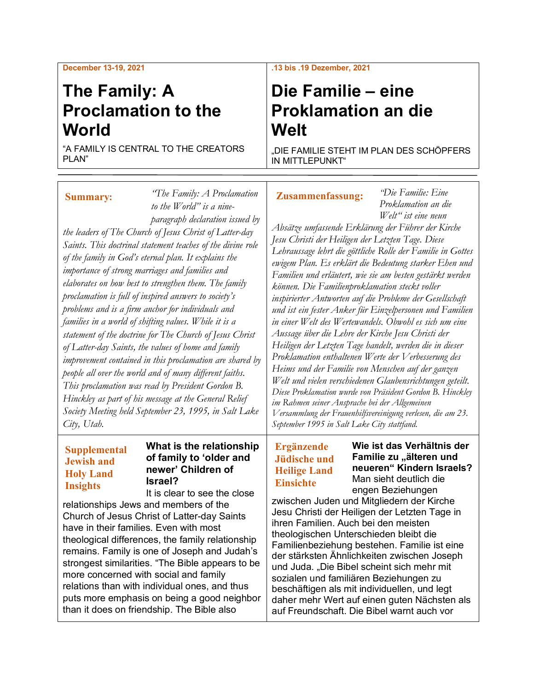# **The Family: A Proclamation to the World**

"A FAMILY IS CENTRAL TO THE CREATORS PLAN"

#### *"The Family: A Proclamation to the World" is a nine-***Summary:**

*paragraph declaration issued by the leaders of The Church of Jesus Christ of Latter-day Saints. This doctrinal statement teaches of the divine role of the family in God's eternal plan. It explains the importance of strong marriages and families and elaborates on how best to strengthen them. The family proclamation is full of inspired answers to society's problems and is a firm anchor for individuals and families in a world of shifting values. While it is a statement of the doctrine for The Church of Jesus Christ of Latter-day Saints, the values of home and family improvement contained in this proclamation are shared by people all over the world and of many different faiths. This proclamation was read by President Gordon B. Hinckley as part of his message at the General Relief Society Meeting held September 23, 1995, in Salt Lake City, Utah.*

#### **Supplemental Jewish and Holy Land Insights**

### **What is the relationship of family to 'older and newer' Children of Israel?**

It is clear to see the close relationships Jews and members of the Church of Jesus Christ of Latter-day Saints have in their families. Even with most theological differences, the family relationship remains. Family is one of Joseph and Judah's strongest similarities. "The Bible appears to be more concerned with social and family relations than with individual ones, and thus puts more emphasis on being a good neighbor than it does on friendship. The Bible also

#### **.13 bis .19 Dezember, 2021**

# **Die Familie – eine Proklamation an die Welt**

"DIE FAMILIE STEHT IM PLAN DES SCHÖPFERS IN MITTLEPUNKT"

## **Zusammenfassung:**

*"Die Familie: Eine Proklamation an die Welt" ist eine neun* 

*Absätze umfassende Erklärung der Führer der Kirche Jesu Christi der Heiligen der Letzten Tage. Diese Lehraussage lehrt die göttliche Rolle der Familie in Gottes ewigem Plan. Es erklärt die Bedeutung starker Ehen und Familien und erläutert, wie sie am besten gestärkt werden können. Die Familienproklamation steckt voller inspirierter Antworten auf die Probleme der Gesellschaft und ist ein fester Anker für Einzelpersonen und Familien in einer Welt des Wertewandels. Obwohl es sich um eine Aussage über die Lehre der Kirche Jesu Christi der Heiligen der Letzten Tage handelt, werden die in dieser Proklamation enthaltenen Werte der Verbesserung des Heims und der Familie von Menschen auf der ganzen Welt und vielen verschiedenen Glaubensrichtungen geteilt. Diese Proklamation wurde von Präsident Gordon B. Hinckley im Rahmen seiner Ansprache bei der Allgemeinen Versammlung der Frauenhilfsvereinigung verlesen, die am 23. September 1995 in Salt Lake City stattfand.*

# **Ergänzende Jüdische und Heilige Land Einsichte**

**Wie ist das Verhältnis der Familie zu "älteren und neueren" Kindern Israels?** Man sieht deutlich die engen Beziehungen

zwischen Juden und Mitgliedern der Kirche Jesu Christi der Heiligen der Letzten Tage in ihren Familien. Auch bei den meisten theologischen Unterschieden bleibt die Familienbeziehung bestehen. Familie ist eine der stärksten Ähnlichkeiten zwischen Joseph und Juda. "Die Bibel scheint sich mehr mit sozialen und familiären Beziehungen zu beschäftigen als mit individuellen, und legt daher mehr Wert auf einen guten Nächsten als auf Freundschaft. Die Bibel warnt auch vor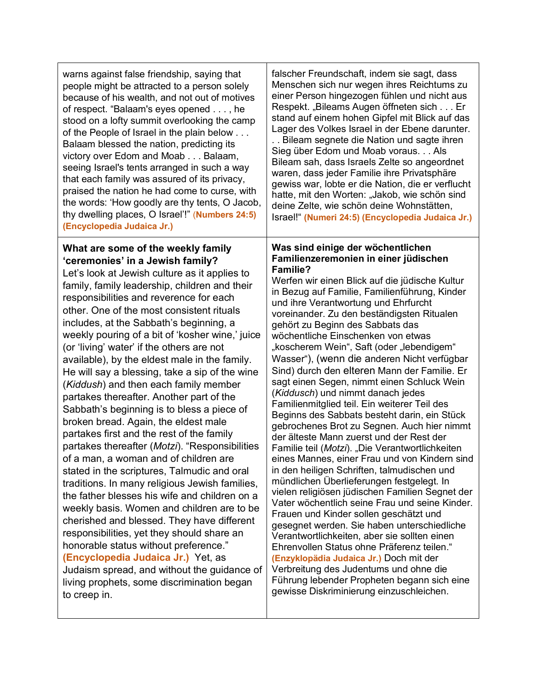warns against false friendship, saying that people might be attracted to a person solely because of his wealth, and not out of motives of respect. "Balaam's eyes opened . . . , he stood on a lofty summit overlooking the camp of the People of Israel in the plain below . . . Balaam blessed the nation, predicting its victory over Edom and Moab . . . Balaam, seeing Israel's tents arranged in such a way that each family was assured of its privacy, praised the nation he had come to curse, with the words: 'How goodly are thy tents, O Jacob, thy dwelling places, O Israel'!" (**Numbers 24:5) (Encyclopedia Judaica Jr.)**

### **What are some of the weekly family 'ceremonies' in a Jewish family?**

Let's look at Jewish culture as it applies to family, family leadership, children and their responsibilities and reverence for each other. One of the most consistent rituals includes, at the Sabbath's beginning, a weekly pouring of a bit of 'kosher wine,' juice (or 'living' water' if the others are not available), by the eldest male in the family. He will say a blessing, take a sip of the wine (*Kiddush*) and then each family member partakes thereafter. Another part of the Sabbath's beginning is to bless a piece of broken bread. Again, the eldest male partakes first and the rest of the family partakes thereafter (*Motzi*). "Responsibilities of a man, a woman and of children are stated in the scriptures, Talmudic and oral traditions. In many religious Jewish families, the father blesses his wife and children on a weekly basis. Women and children are to be cherished and blessed. They have different responsibilities, yet they should share an honorable status without preference." **(Encyclopedia Judaica Jr.)** Yet, as Judaism spread, and without the guidance of living prophets, some discrimination began to creep in.

falscher Freundschaft, indem sie sagt, dass Menschen sich nur wegen ihres Reichtums zu einer Person hingezogen fühlen und nicht aus Respekt. "Bileams Augen öffneten sich . . . Er stand auf einem hohen Gipfel mit Blick auf das Lager des Volkes Israel in der Ebene darunter.

. . Bileam segnete die Nation und sagte ihren Sieg über Edom und Moab voraus. . . Als Bileam sah, dass Israels Zelte so angeordnet waren, dass jeder Familie ihre Privatsphäre gewiss war, lobte er die Nation, die er verflucht hatte, mit den Worten: "Jakob, wie schön sind deine Zelte, wie schön deine Wohnstätten, Israel!" **(Numeri 24:5) (Encyclopedia Judaica Jr.)**

#### **Was sind einige der wöchentlichen Familienzeremonien in einer jüdischen Familie?**

Werfen wir einen Blick auf die jüdische Kultur in Bezug auf Familie, Familienführung, Kinder und ihre Verantwortung und Ehrfurcht voreinander. Zu den beständigsten Ritualen gehört zu Beginn des Sabbats das wöchentliche Einschenken von etwas "koscherem Wein", Saft (oder "lebendigem" Wasser"), (wenn die anderen Nicht verfügbar Sind) durch den elteren Mann der Familie. Er sagt einen Segen, nimmt einen Schluck Wein (*Kiddusch*) und nimmt danach jedes Familienmitglied teil. Ein weiterer Teil des Beginns des Sabbats besteht darin, ein Stück gebrochenes Brot zu Segnen. Auch hier nimmt der älteste Mann zuerst und der Rest der Familie teil (*Motzi*). "Die Verantwortlichkeiten eines Mannes, einer Frau und von Kindern sind in den heiligen Schriften, talmudischen und mündlichen Überlieferungen festgelegt. In vielen religiösen jüdischen Familien Segnet der Vater wöchentlich seine Frau und seine Kinder. Frauen und Kinder sollen geschätzt und gesegnet werden. Sie haben unterschiedliche Verantwortlichkeiten, aber sie sollten einen Ehrenvollen Status ohne Präferenz teilen." **(Enzyklopädia Judaica Jr.)** Doch mit der Verbreitung des Judentums und ohne die Führung lebender Propheten begann sich eine gewisse Diskriminierung einzuschleichen.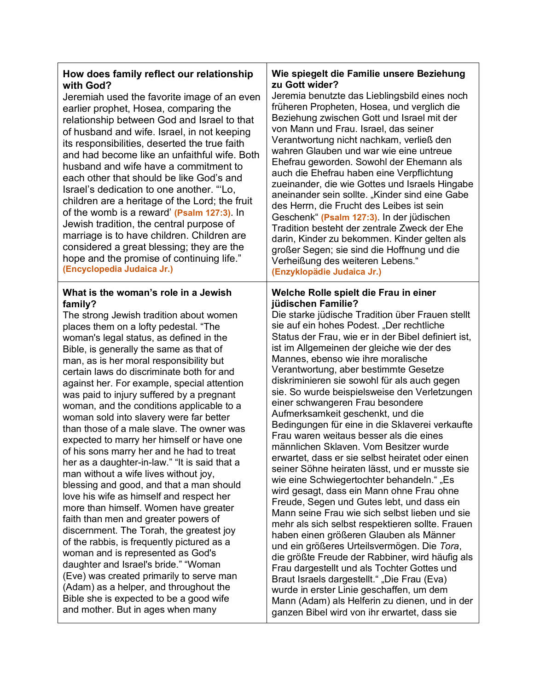## **How does family reflect our relationship with God?**

Jeremiah used the favorite image of an even earlier prophet, Hosea, comparing the relationship between God and Israel to that of husband and wife. Israel, in not keeping its responsibilities, deserted the true faith and had become like an unfaithful wife. Both husband and wife have a commitment to each other that should be like God's and Israel's dedication to one another. "'Lo, children are a heritage of the Lord; the fruit of the womb is a reward' **(Psalm 127:3)**. In Jewish tradition, the central purpose of marriage is to have children. Children are considered a great blessing; they are the hope and the promise of continuing life." **(Encyclopedia Judaica Jr.)**

#### **What is the woman's role in a Jewish family?**

The strong Jewish tradition about women places them on a lofty pedestal. "The woman's legal status, as defined in the Bible, is generally the same as that of man, as is her moral responsibility but certain laws do discriminate both for and against her. For example, special attention was paid to injury suffered by a pregnant woman, and the conditions applicable to a woman sold into slavery were far better than those of a male slave. The owner was expected to marry her himself or have one of his sons marry her and he had to treat her as a daughter-in-law." "It is said that a man without a wife lives without joy, blessing and good, and that a man should love his wife as himself and respect her more than himself. Women have greater faith than men and greater powers of discernment. The Torah, the greatest joy of the rabbis, is frequently pictured as a woman and is represented as God's daughter and Israel's bride." "Woman (Eve) was created primarily to serve man (Adam) as a helper, and throughout the Bible she is expected to be a good wife and mother. But in ages when many

#### **Wie spiegelt die Familie unsere Beziehung zu Gott wider?**

Jeremia benutzte das Lieblingsbild eines noch früheren Propheten, Hosea, und verglich die Beziehung zwischen Gott und Israel mit der von Mann und Frau. Israel, das seiner Verantwortung nicht nachkam, verließ den wahren Glauben und war wie eine untreue Ehefrau geworden. Sowohl der Ehemann als auch die Ehefrau haben eine Verpflichtung zueinander, die wie Gottes und Israels Hingabe aneinander sein sollte. "Kinder sind eine Gabe des Herrn, die Frucht des Leibes ist sein Geschenk" **(Psalm 127:3)**. In der jüdischen Tradition besteht der zentrale Zweck der Ehe darin, Kinder zu bekommen. Kinder gelten als großer Segen; sie sind die Hoffnung und die Verheißung des weiteren Lebens." **(Enzyklopädie Judaica Jr.)**

#### **Welche Rolle spielt die Frau in einer jüdischen Familie?**

Die starke jüdische Tradition über Frauen stellt sie auf ein hohes Podest. "Der rechtliche Status der Frau, wie er in der Bibel definiert ist, ist im Allgemeinen der gleiche wie der des Mannes, ebenso wie ihre moralische Verantwortung, aber bestimmte Gesetze diskriminieren sie sowohl für als auch gegen sie. So wurde beispielsweise den Verletzungen einer schwangeren Frau besondere Aufmerksamkeit geschenkt, und die Bedingungen für eine in die Sklaverei verkaufte Frau waren weitaus besser als die eines männlichen Sklaven. Vom Besitzer wurde erwartet, dass er sie selbst heiratet oder einen seiner Söhne heiraten lässt, und er musste sie wie eine Schwiegertochter behandeln." "Es wird gesagt, dass ein Mann ohne Frau ohne Freude, Segen und Gutes lebt, und dass ein Mann seine Frau wie sich selbst lieben und sie mehr als sich selbst respektieren sollte. Frauen haben einen größeren Glauben als Männer und ein größeres Urteilsvermögen. Die *Tora*, die größte Freude der Rabbiner, wird häufig als Frau dargestellt und als Tochter Gottes und Braut Israels dargestellt." "Die Frau (Eva) wurde in erster Linie geschaffen, um dem Mann (Adam) als Helferin zu dienen, und in der ganzen Bibel wird von ihr erwartet, dass sie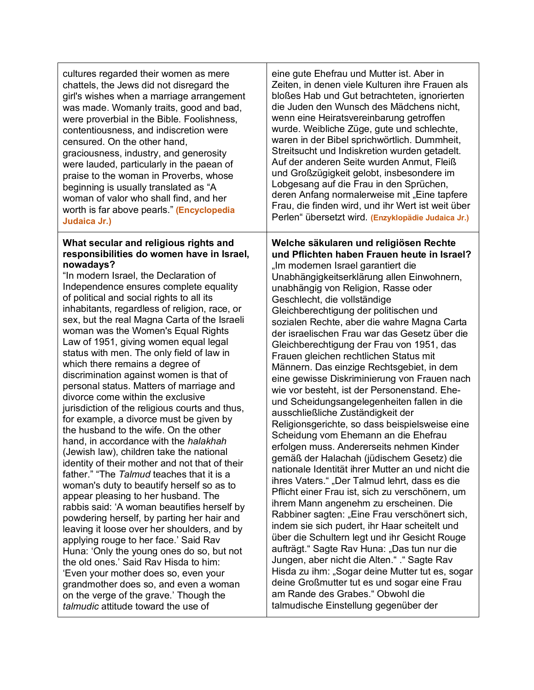| cultures regarded their women as mere                                                                                                                                                                                                                                                                                                                                                                                                                                                                                                                                                                                                                                                                                                                                                                                                                                                                                                                                                                                                                                                                                                                                                                                                                                                                                                                                                                                                                                                  | eine gute Ehefrau und Mutter ist. Aber in                                                                                                                                                                                                                                                                                                                                                                                                                                                                                                                                                                                                                                                                                                                                                                                                                                                                                                                                                                                                                                                                                                                                                                                                                                                                                                                                                                                                                                                                                                 |
|----------------------------------------------------------------------------------------------------------------------------------------------------------------------------------------------------------------------------------------------------------------------------------------------------------------------------------------------------------------------------------------------------------------------------------------------------------------------------------------------------------------------------------------------------------------------------------------------------------------------------------------------------------------------------------------------------------------------------------------------------------------------------------------------------------------------------------------------------------------------------------------------------------------------------------------------------------------------------------------------------------------------------------------------------------------------------------------------------------------------------------------------------------------------------------------------------------------------------------------------------------------------------------------------------------------------------------------------------------------------------------------------------------------------------------------------------------------------------------------|-------------------------------------------------------------------------------------------------------------------------------------------------------------------------------------------------------------------------------------------------------------------------------------------------------------------------------------------------------------------------------------------------------------------------------------------------------------------------------------------------------------------------------------------------------------------------------------------------------------------------------------------------------------------------------------------------------------------------------------------------------------------------------------------------------------------------------------------------------------------------------------------------------------------------------------------------------------------------------------------------------------------------------------------------------------------------------------------------------------------------------------------------------------------------------------------------------------------------------------------------------------------------------------------------------------------------------------------------------------------------------------------------------------------------------------------------------------------------------------------------------------------------------------------|
| chattels, the Jews did not disregard the                                                                                                                                                                                                                                                                                                                                                                                                                                                                                                                                                                                                                                                                                                                                                                                                                                                                                                                                                                                                                                                                                                                                                                                                                                                                                                                                                                                                                                               | Zeiten, in denen viele Kulturen ihre Frauen als                                                                                                                                                                                                                                                                                                                                                                                                                                                                                                                                                                                                                                                                                                                                                                                                                                                                                                                                                                                                                                                                                                                                                                                                                                                                                                                                                                                                                                                                                           |
| girl's wishes when a marriage arrangement                                                                                                                                                                                                                                                                                                                                                                                                                                                                                                                                                                                                                                                                                                                                                                                                                                                                                                                                                                                                                                                                                                                                                                                                                                                                                                                                                                                                                                              | bloßes Hab und Gut betrachteten, ignorierten                                                                                                                                                                                                                                                                                                                                                                                                                                                                                                                                                                                                                                                                                                                                                                                                                                                                                                                                                                                                                                                                                                                                                                                                                                                                                                                                                                                                                                                                                              |
| was made. Womanly traits, good and bad,                                                                                                                                                                                                                                                                                                                                                                                                                                                                                                                                                                                                                                                                                                                                                                                                                                                                                                                                                                                                                                                                                                                                                                                                                                                                                                                                                                                                                                                | die Juden den Wunsch des Mädchens nicht,                                                                                                                                                                                                                                                                                                                                                                                                                                                                                                                                                                                                                                                                                                                                                                                                                                                                                                                                                                                                                                                                                                                                                                                                                                                                                                                                                                                                                                                                                                  |
| were proverbial in the Bible. Foolishness,                                                                                                                                                                                                                                                                                                                                                                                                                                                                                                                                                                                                                                                                                                                                                                                                                                                                                                                                                                                                                                                                                                                                                                                                                                                                                                                                                                                                                                             | wenn eine Heiratsvereinbarung getroffen                                                                                                                                                                                                                                                                                                                                                                                                                                                                                                                                                                                                                                                                                                                                                                                                                                                                                                                                                                                                                                                                                                                                                                                                                                                                                                                                                                                                                                                                                                   |
| contentiousness, and indiscretion were                                                                                                                                                                                                                                                                                                                                                                                                                                                                                                                                                                                                                                                                                                                                                                                                                                                                                                                                                                                                                                                                                                                                                                                                                                                                                                                                                                                                                                                 | wurde. Weibliche Züge, gute und schlechte,                                                                                                                                                                                                                                                                                                                                                                                                                                                                                                                                                                                                                                                                                                                                                                                                                                                                                                                                                                                                                                                                                                                                                                                                                                                                                                                                                                                                                                                                                                |
| censured. On the other hand,                                                                                                                                                                                                                                                                                                                                                                                                                                                                                                                                                                                                                                                                                                                                                                                                                                                                                                                                                                                                                                                                                                                                                                                                                                                                                                                                                                                                                                                           | waren in der Bibel sprichwörtlich. Dummheit,                                                                                                                                                                                                                                                                                                                                                                                                                                                                                                                                                                                                                                                                                                                                                                                                                                                                                                                                                                                                                                                                                                                                                                                                                                                                                                                                                                                                                                                                                              |
| graciousness, industry, and generosity                                                                                                                                                                                                                                                                                                                                                                                                                                                                                                                                                                                                                                                                                                                                                                                                                                                                                                                                                                                                                                                                                                                                                                                                                                                                                                                                                                                                                                                 | Streitsucht und Indiskretion wurden getadelt.                                                                                                                                                                                                                                                                                                                                                                                                                                                                                                                                                                                                                                                                                                                                                                                                                                                                                                                                                                                                                                                                                                                                                                                                                                                                                                                                                                                                                                                                                             |
| were lauded, particularly in the paean of                                                                                                                                                                                                                                                                                                                                                                                                                                                                                                                                                                                                                                                                                                                                                                                                                                                                                                                                                                                                                                                                                                                                                                                                                                                                                                                                                                                                                                              | Auf der anderen Seite wurden Anmut, Fleiß                                                                                                                                                                                                                                                                                                                                                                                                                                                                                                                                                                                                                                                                                                                                                                                                                                                                                                                                                                                                                                                                                                                                                                                                                                                                                                                                                                                                                                                                                                 |
| praise to the woman in Proverbs, whose                                                                                                                                                                                                                                                                                                                                                                                                                                                                                                                                                                                                                                                                                                                                                                                                                                                                                                                                                                                                                                                                                                                                                                                                                                                                                                                                                                                                                                                 | und Großzügigkeit gelobt, insbesondere im                                                                                                                                                                                                                                                                                                                                                                                                                                                                                                                                                                                                                                                                                                                                                                                                                                                                                                                                                                                                                                                                                                                                                                                                                                                                                                                                                                                                                                                                                                 |
| beginning is usually translated as "A                                                                                                                                                                                                                                                                                                                                                                                                                                                                                                                                                                                                                                                                                                                                                                                                                                                                                                                                                                                                                                                                                                                                                                                                                                                                                                                                                                                                                                                  | Lobgesang auf die Frau in den Sprüchen,                                                                                                                                                                                                                                                                                                                                                                                                                                                                                                                                                                                                                                                                                                                                                                                                                                                                                                                                                                                                                                                                                                                                                                                                                                                                                                                                                                                                                                                                                                   |
| woman of valor who shall find, and her                                                                                                                                                                                                                                                                                                                                                                                                                                                                                                                                                                                                                                                                                                                                                                                                                                                                                                                                                                                                                                                                                                                                                                                                                                                                                                                                                                                                                                                 | deren Anfang normalerweise mit "Eine tapfere                                                                                                                                                                                                                                                                                                                                                                                                                                                                                                                                                                                                                                                                                                                                                                                                                                                                                                                                                                                                                                                                                                                                                                                                                                                                                                                                                                                                                                                                                              |
| worth is far above pearls." (Encyclopedia                                                                                                                                                                                                                                                                                                                                                                                                                                                                                                                                                                                                                                                                                                                                                                                                                                                                                                                                                                                                                                                                                                                                                                                                                                                                                                                                                                                                                                              | Frau, die finden wird, und ihr Wert ist weit über                                                                                                                                                                                                                                                                                                                                                                                                                                                                                                                                                                                                                                                                                                                                                                                                                                                                                                                                                                                                                                                                                                                                                                                                                                                                                                                                                                                                                                                                                         |
| Judaica Jr.)                                                                                                                                                                                                                                                                                                                                                                                                                                                                                                                                                                                                                                                                                                                                                                                                                                                                                                                                                                                                                                                                                                                                                                                                                                                                                                                                                                                                                                                                           | Perlen" übersetzt wird. (Enzyklopädie Judaica Jr.)                                                                                                                                                                                                                                                                                                                                                                                                                                                                                                                                                                                                                                                                                                                                                                                                                                                                                                                                                                                                                                                                                                                                                                                                                                                                                                                                                                                                                                                                                        |
| What secular and religious rights and<br>responsibilities do women have in Israel,<br>nowadays?<br>"In modern Israel, the Declaration of<br>Independence ensures complete equality<br>of political and social rights to all its<br>inhabitants, regardless of religion, race, or<br>sex, but the real Magna Carta of the Israeli<br>woman was the Women's Equal Rights<br>Law of 1951, giving women equal legal<br>status with men. The only field of law in<br>which there remains a degree of<br>discrimination against women is that of<br>personal status. Matters of marriage and<br>divorce come within the exclusive<br>jurisdiction of the religious courts and thus,<br>for example, a divorce must be given by<br>the husband to the wife. On the other<br>hand, in accordance with the halakhah<br>(Jewish law), children take the national<br>identity of their mother and not that of their<br>father." "The Talmud teaches that it is a<br>woman's duty to beautify herself so as to<br>appear pleasing to her husband. The<br>rabbis said: 'A woman beautifies herself by<br>powdering herself, by parting her hair and<br>leaving it loose over her shoulders, and by<br>applying rouge to her face.' Said Rav<br>Huna: 'Only the young ones do so, but not<br>the old ones.' Said Rav Hisda to him:<br>'Even your mother does so, even your<br>grandmother does so, and even a woman<br>on the verge of the grave.' Though the<br>talmudic attitude toward the use of | Welche säkularen und religiösen Rechte<br>und Pflichten haben Frauen heute in Israel?<br>"Im modernen Israel garantiert die<br>Unabhängigkeitserklärung allen Einwohnern,<br>unabhängig von Religion, Rasse oder<br>Geschlecht, die vollständige<br>Gleichberechtigung der politischen und<br>sozialen Rechte, aber die wahre Magna Carta<br>der israelischen Frau war das Gesetz über die<br>Gleichberechtigung der Frau von 1951, das<br>Frauen gleichen rechtlichen Status mit<br>Männern. Das einzige Rechtsgebiet, in dem<br>eine gewisse Diskriminierung von Frauen nach<br>wie vor besteht, ist der Personenstand. Ehe-<br>und Scheidungsangelegenheiten fallen in die<br>ausschließliche Zuständigkeit der<br>Religionsgerichte, so dass beispielsweise eine<br>Scheidung vom Ehemann an die Ehefrau<br>erfolgen muss. Andererseits nehmen Kinder<br>gemäß der Halachah (jüdischem Gesetz) die<br>nationale Identität ihrer Mutter an und nicht die<br>ihres Vaters." "Der Talmud lehrt, dass es die<br>Pflicht einer Frau ist, sich zu verschönern, um<br>ihrem Mann angenehm zu erscheinen. Die<br>Rabbiner sagten: "Eine Frau verschönert sich,<br>indem sie sich pudert, ihr Haar scheitelt und<br>über die Schultern legt und ihr Gesicht Rouge<br>aufträgt." Sagte Rav Huna: "Das tun nur die<br>Jungen, aber nicht die Alten." ." Sagte Rav<br>Hisda zu ihm: "Sogar deine Mutter tut es, sogar<br>deine Großmutter tut es und sogar eine Frau<br>am Rande des Grabes." Obwohl die<br>talmudische Einstellung gegenüber der |

l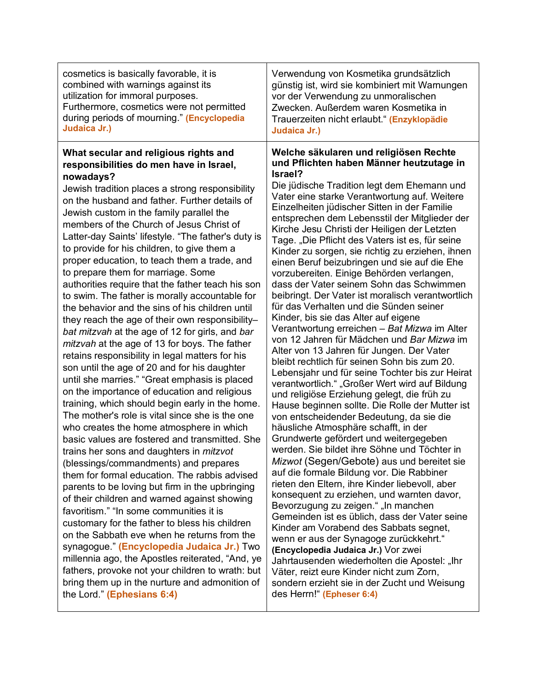| cosmetics is basically favorable, it is<br>combined with warnings against its<br>utilization for immoral purposes.<br>Furthermore, cosmetics were not permitted<br>during periods of mourning." (Encyclopedia<br>Judaica Jr.)                                                                                                                                                                                                                                                                                                                                                                                                                                                                                                                                                                                                                                                                                                                                                                                                                                                                                                                                                                                                                                                                                                                                                                                                                                                                                                                                                                                                                                                                                                                                                                                                                    | Verwendung von Kosmetika grundsätzlich<br>günstig ist, wird sie kombiniert mit Warnungen<br>vor der Verwendung zu unmoralischen<br>Zwecken. Außerdem waren Kosmetika in<br>Trauerzeiten nicht erlaubt." (Enzyklopädie<br>Judaica Jr.)                                                                                                                                                                                                                                                                                                                                                                                                                                                                                                                                                                                                                                                                                                                                                                                                                                                                                                                                                                                                                                                                                                                                                                                                                                                                                                                                                                                                                                                                                                                                                                                                                                                                        |
|--------------------------------------------------------------------------------------------------------------------------------------------------------------------------------------------------------------------------------------------------------------------------------------------------------------------------------------------------------------------------------------------------------------------------------------------------------------------------------------------------------------------------------------------------------------------------------------------------------------------------------------------------------------------------------------------------------------------------------------------------------------------------------------------------------------------------------------------------------------------------------------------------------------------------------------------------------------------------------------------------------------------------------------------------------------------------------------------------------------------------------------------------------------------------------------------------------------------------------------------------------------------------------------------------------------------------------------------------------------------------------------------------------------------------------------------------------------------------------------------------------------------------------------------------------------------------------------------------------------------------------------------------------------------------------------------------------------------------------------------------------------------------------------------------------------------------------------------------|--------------------------------------------------------------------------------------------------------------------------------------------------------------------------------------------------------------------------------------------------------------------------------------------------------------------------------------------------------------------------------------------------------------------------------------------------------------------------------------------------------------------------------------------------------------------------------------------------------------------------------------------------------------------------------------------------------------------------------------------------------------------------------------------------------------------------------------------------------------------------------------------------------------------------------------------------------------------------------------------------------------------------------------------------------------------------------------------------------------------------------------------------------------------------------------------------------------------------------------------------------------------------------------------------------------------------------------------------------------------------------------------------------------------------------------------------------------------------------------------------------------------------------------------------------------------------------------------------------------------------------------------------------------------------------------------------------------------------------------------------------------------------------------------------------------------------------------------------------------------------------------------------------------|
| What secular and religious rights and<br>responsibilities do men have in Israel,<br>nowadays?<br>Jewish tradition places a strong responsibility<br>on the husband and father. Further details of<br>Jewish custom in the family parallel the<br>members of the Church of Jesus Christ of<br>Latter-day Saints' lifestyle. "The father's duty is<br>to provide for his children, to give them a<br>proper education, to teach them a trade, and<br>to prepare them for marriage. Some<br>authorities require that the father teach his son<br>to swim. The father is morally accountable for<br>the behavior and the sins of his children until<br>they reach the age of their own responsibility-<br>bat mitzvah at the age of 12 for girls, and bar<br>mitzvah at the age of 13 for boys. The father<br>retains responsibility in legal matters for his<br>son until the age of 20 and for his daughter<br>until she marries." "Great emphasis is placed<br>on the importance of education and religious<br>training, which should begin early in the home.<br>The mother's role is vital since she is the one<br>who creates the home atmosphere in which<br>basic values are fostered and transmitted. She<br>trains her sons and daughters in <i>mitzvot</i><br>(blessings/commandments) and prepares<br>them for formal education. The rabbis advised<br>parents to be loving but firm in the upbringing<br>of their children and warned against showing<br>favoritism." "In some communities it is<br>customary for the father to bless his children<br>on the Sabbath eve when he returns from the<br>synagogue." (Encyclopedia Judaica Jr.) Two<br>millennia ago, the Apostles reiterated, "And, ye<br>fathers, provoke not your children to wrath: but<br>bring them up in the nurture and admonition of<br>the Lord." (Ephesians 6:4) | Welche säkularen und religiösen Rechte<br>und Pflichten haben Männer heutzutage in<br>Israel?<br>Die jüdische Tradition legt dem Ehemann und<br>Vater eine starke Verantwortung auf. Weitere<br>Einzelheiten jüdischer Sitten in der Familie<br>entsprechen dem Lebensstil der Mitglieder der<br>Kirche Jesu Christi der Heiligen der Letzten<br>Tage. "Die Pflicht des Vaters ist es, für seine<br>Kinder zu sorgen, sie richtig zu erziehen, ihnen<br>einen Beruf beizubringen und sie auf die Ehe<br>vorzubereiten. Einige Behörden verlangen,<br>dass der Vater seinem Sohn das Schwimmen<br>beibringt. Der Vater ist moralisch verantwortlich<br>für das Verhalten und die Sünden seiner<br>Kinder, bis sie das Alter auf eigene<br>Verantwortung erreichen - Bat Mizwa im Alter<br>von 12 Jahren für Mädchen und Bar Mizwa im<br>Alter von 13 Jahren für Jungen. Der Vater<br>bleibt rechtlich für seinen Sohn bis zum 20.<br>Lebensjahr und für seine Tochter bis zur Heirat<br>verantwortlich." "Großer Wert wird auf Bildung<br>und religiöse Erziehung gelegt, die früh zu<br>Hause beginnen sollte. Die Rolle der Mutter ist<br>von entscheidender Bedeutung, da sie die<br>häusliche Atmosphäre schafft, in der<br>Grundwerte gefördert und weitergegeben<br>werden. Sie bildet ihre Söhne und Töchter in<br>Mizwot (Segen/Gebote) aus und bereitet sie<br>auf die formale Bildung vor. Die Rabbiner<br>rieten den Eltern, ihre Kinder liebevoll, aber<br>konsequent zu erziehen, und warnten davor,<br>Bevorzugung zu zeigen." "In manchen<br>Gemeinden ist es üblich, dass der Vater seine<br>Kinder am Vorabend des Sabbats segnet,<br>wenn er aus der Synagoge zurückkehrt."<br>(Encyclopedia Judaica Jr.) Vor zwei<br>Jahrtausenden wiederholten die Apostel: "Ihr<br>Väter, reizt eure Kinder nicht zum Zorn,<br>sondern erzieht sie in der Zucht und Weisung<br>des Herrn!" (Epheser 6:4) |